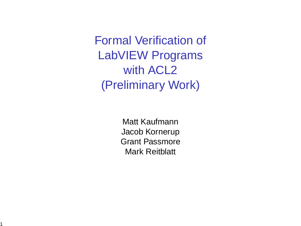Formal Verification of LabVIEW Programs with **ACL2** (Preliminary Work)

> Matt Kaufmann Jacob Kornerup Grant Passmore Mark Reitblatt

1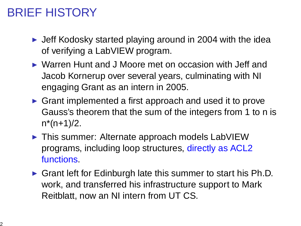# BRIEF HISTORY

- $\blacktriangleright$  Jeff Kodosky started playing around in 2004 with the idea of verifying a LabVIEW program.
- ► Warren Hunt and J Moore met on occasion with Jeff and Jacob Kornerup over several years, culminating with NI engaging Grant as an intern in 2005.
- ► Grant implemented a first approach and used it to prove Gauss's theorem that the sum of the integers from 1 to n is  $n*(n+1)/2$ .
- ▶ This summer: Alternate approach models LabVIEW programs, including loop structures, directly as ACL2 functions.
- $\triangleright$  Grant left for Edinburgh late this summer to start his Ph.D. work, and transferred his infrastructure support to Mark Reitblatt, now an NI intern from UT CS.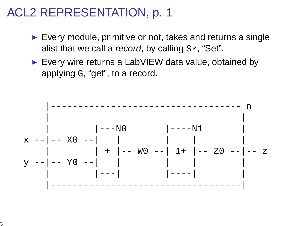### ACL2 REPRESENTATION, p. 1

- $\blacktriangleright$  Every module, primitive or not, takes and returns a single alist that we call a record, by calling  $S^*$ , "Set".
- ► Every wire returns a LabVIEW data value, obtained by applying G, "get", to a record.

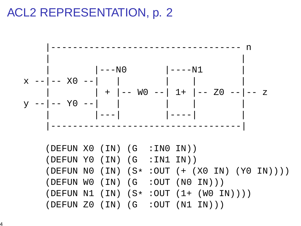# ACL2 REPRESENTATION, p. 2

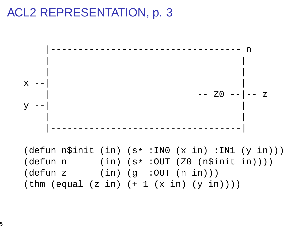#### ACL2 REPRESENTATION, p. 3

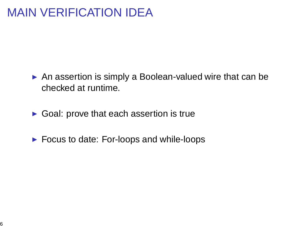# MAIN VERIFICATION IDEA

- ▶ An assertion is simply a Boolean-valued wire that can be checked at runtime.
- $\triangleright$  Goal: prove that each assertion is true
- $\blacktriangleright$  Focus to date: For-loops and while-loops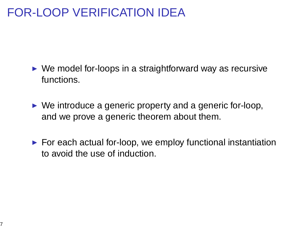# FOR-LOOP VERIFICATION IDEA

- $\triangleright$  We model for-loops in a straightforward way as recursive functions.
- $\triangleright$  We introduce a generic property and a generic for-loop, and we prove a generic theorem about them.
- $\blacktriangleright$  For each actual for-loop, we employ functional instantiation to avoid the use of induction.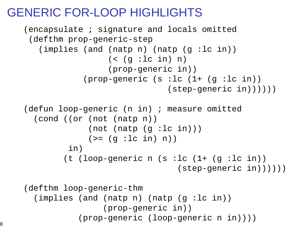# GENERIC FOR-LOOP HIGHLIGHTS

```
(encapsulate ; signature and locals omitted
(defthm prop-generic-step
   (implies (and (natp n) (natp (g :lc in))
                  (<math>q</math> :lc in) n)(prop-generic in))
            (prop-generic (s :lc (1+ (g :lc in))
                               (s \text{tep-q}{\text{eneric in}}))))(defun loop-generic (n in) ; measure omitted
  (cond ((or (not (natp n))
             (not (natp (q :lc in)))(>= (q :lc in) n))in)
        (t (loop-generic n (s :lc (1+ (g :lc in))
                                 (step-generic in))))))
(defthm loop-generic-thm
  (implies (and (natp n) (natp (g :lc in))
                 (prop-generic in))
           (prop-generic (loop-generic n in))))
```
8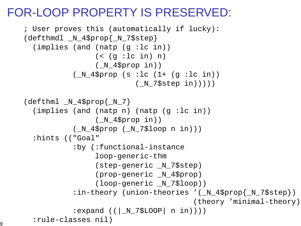# FOR-LOOP PROPERTY IS PRESERVED:

```
; User proves this (automatically if lucky):
(defthmdl _N_4$prop{_N_7$step}
  (implies (and (natp (g :lc in))
                 (<math>q</math> :lc in) n)(_N_4$prop in))
           (N 4$prop (s :lc (1+ (q :lc in)))(_N_7$step in)))))
\text{defthml} _N_4$prop{_N_7}
  (implies (and (natp n) (natp (g :lc in))
                 (N 4$prop in))(N_4$ ^{45}prop (N_7$ ^{10}oop n in)))
  :hints (("Goal"
           :by (:functional-instance
                 loop-generic-thm
                 (step-generic _N_7$step)
                 (prop-generic _N_4$prop)
                 (loop-generic _N_7$loop))
           :in-theory (union-theories '( N 4$prop{ N 7$step})
                                        (theory 'minimal-theory))
           :expand ((|_N_7$LOOP| n in))))
  :rule-classes nil)
```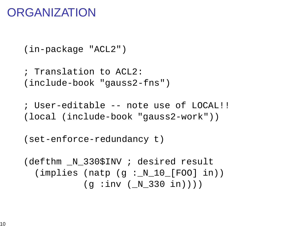### **ORGANIZATION**

```
(in-package "ACL2")
```

```
; Translation to ACL2:
(include-book "gauss2-fns")
```

```
; User-editable -- note use of LOCAL!!
(local (include-book "gauss2-work"))
```

```
(set-enforce-redundancy t)
```

```
(defthm _N_330$INV ; desired result
  (implies (natp (g :_N_10_[FOO] in))
           (g : inv (N_330 in)))
```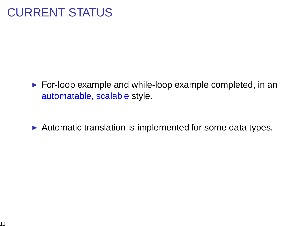# CURRENT STATUS

- ► For-loop example and while-loop example completed, in an automatable, scalable style.
- $\triangleright$  Automatic translation is implemented for some data types.